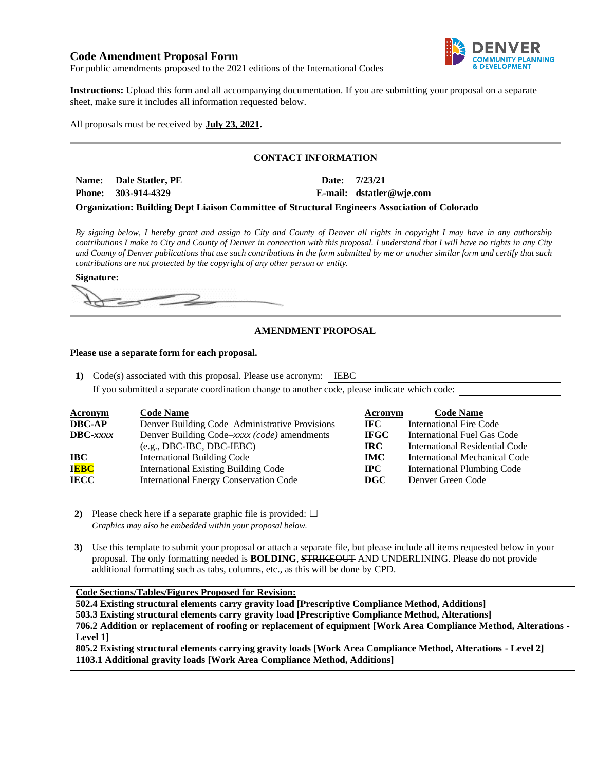# **Code Amendment Proposal Form**



For public amendments proposed to the 2021 editions of the International Codes

**Instructions:** Upload this form and all accompanying documentation. If you are submitting your proposal on a separate sheet, make sure it includes all information requested below.

All proposals must be received by **July 23, 2021.**

# **CONTACT INFORMATION**

**Name: Dale Statler, PE Date: 7/23/21 Phone: 303-914-4329 E-mail: dstatler@wje.com**

# **Organization: Building Dept Liaison Committee of Structural Engineers Association of Colorado**

*By signing below, I hereby grant and assign to City and County of Denver all rights in copyright I may have in any authorship contributions I make to City and County of Denver in connection with this proposal. I understand that I will have no rights in any City and County of Denver publications that use such contributions in the form submitted by me or another similar form and certify that such contributions are not protected by the copyright of any other person or entity.* 

**Signature:**

# **AMENDMENT PROPOSAL**

# **Please use a separate form for each proposal.**

**1)** Code(s) associated with this proposal. Please use acronym: IEBC If you submitted a separate coordination change to another code, please indicate which code:

| <b>Acronym</b> | <b>Code Name</b>                               | Acronym     | <b>Code Name</b>                   |
|----------------|------------------------------------------------|-------------|------------------------------------|
| <b>DBC-AP</b>  | Denver Building Code–Administrative Provisions | IFC.        | <b>International Fire Code</b>     |
| $DBC$ -xxxx    | Denver Building Code–xxxx (code) amendments    | <b>IFGC</b> | International Fuel Gas Code        |
|                | $(e.g., DBC-IBC, DBC-IEBC)$                    | IRC.        | International Residential Code     |
| <b>IBC</b>     | <b>International Building Code</b>             | <b>IMC</b>  | International Mechanical Code      |
| <b>IEBC</b>    | <b>International Existing Building Code</b>    | <b>IPC</b>  | <b>International Plumbing Code</b> |
| <b>IECC</b>    | <b>International Energy Conservation Code</b>  | <b>DGC</b>  | Denver Green Code                  |

- **2)** Please check here if a separate graphic file is provided:  $\Box$ *Graphics may also be embedded within your proposal below.*
- **3)** Use this template to submit your proposal or attach a separate file, but please include all items requested below in your proposal. The only formatting needed is **BOLDING**, STRIKEOUT AND UNDERLINING. Please do not provide additional formatting such as tabs, columns, etc., as this will be done by CPD.

# **Code Sections/Tables/Figures Proposed for Revision:**

**502.4 Existing structural elements carry gravity load [Prescriptive Compliance Method, Additions] 503.3 Existing structural elements carry gravity load [Prescriptive Compliance Method, Alterations] 706.2 Addition or replacement of roofing or replacement of equipment [Work Area Compliance Method, Alterations - Level 1]**

**805.2 Existing structural elements carrying gravity loads [Work Area Compliance Method, Alterations - Level 2] 1103.1 Additional gravity loads [Work Area Compliance Method, Additions]**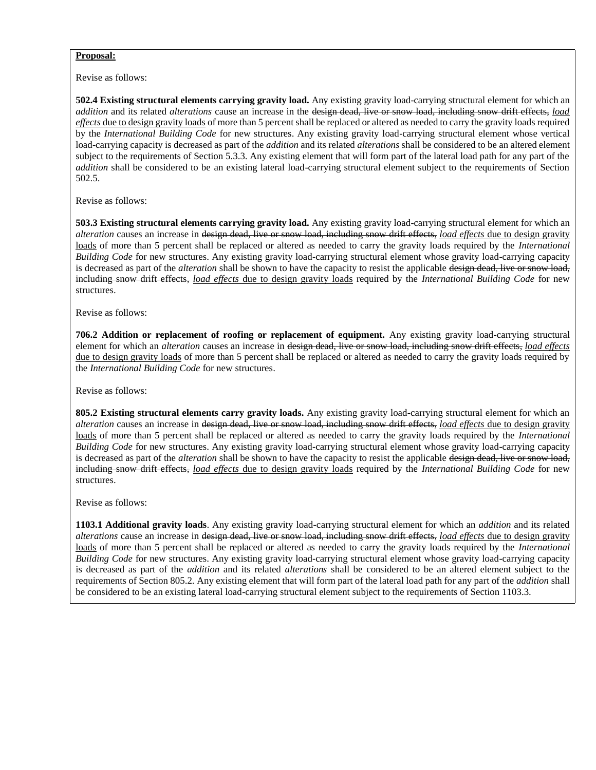# **Proposal:**

Revise as follows:

**502.4 Existing structural elements carrying gravity load.** Any existing gravity load-carrying structural element for which an *addition* and its related *alterations* cause an increase in the design dead, live or snow load, including snow drift effects, *load effects* due to design gravity loads of more than 5 percent shall be replaced or altered as needed to carry the gravity loads required by the *International Building Code* for new structures. Any existing gravity load-carrying structural element whose vertical load-carrying capacity is decreased as part of the *addition* and its related *alterations* shall be considered to be an altered element subject to the requirements of Section 5.3.3. Any existing element that will form part of the lateral load path for any part of the *addition* shall be considered to be an existing lateral load-carrying structural element subject to the requirements of Section 502.5.

Revise as follows:

**503.3 Existing structural elements carrying gravity load.** Any existing gravity load-carrying structural element for which an *alteration* causes an increase in design dead, live or snow load, including snow drift effects, *load effects* due to design gravity loads of more than 5 percent shall be replaced or altered as needed to carry the gravity loads required by the *International Building Code* for new structures. Any existing gravity load-carrying structural element whose gravity load-carrying capacity is decreased as part of the *alteration* shall be shown to have the capacity to resist the applicable design dead, live or snow load, including snow drift effects, *load effects* due to design gravity loads required by the *International Building Code* for new structures.

Revise as follows:

**706.2 Addition or replacement of roofing or replacement of equipment.** Any existing gravity load-carrying structural element for which an *alteration* causes an increase in design dead, live or snow load, including snow drift effects, *load effects* due to design gravity loads of more than 5 percent shall be replaced or altered as needed to carry the gravity loads required by the *International Building Code* for new structures.

Revise as follows:

**805.2 Existing structural elements carry gravity loads.** Any existing gravity load-carrying structural element for which an *alteration* causes an increase in design dead, live or snow load, including snow drift effects, *load effects* due to design gravity loads of more than 5 percent shall be replaced or altered as needed to carry the gravity loads required by the *International Building Code* for new structures. Any existing gravity load-carrying structural element whose gravity load-carrying capacity is decreased as part of the *alteration* shall be shown to have the capacity to resist the applicable design dead, live or snow load, including snow drift effects, *load effects* due to design gravity loads required by the *International Building Code* for new structures.

Revise as follows:

**1103.1 Additional gravity loads**. Any existing gravity load-carrying structural element for which an *addition* and its related *alterations* cause an increase in design dead, live or snow load, including snow drift effects, *load effects* due to design gravity loads of more than 5 percent shall be replaced or altered as needed to carry the gravity loads required by the *International Building Code* for new structures. Any existing gravity load-carrying structural element whose gravity load-carrying capacity is decreased as part of the *addition* and its related *alterations* shall be considered to be an altered element subject to the requirements of Section 805.2. Any existing element that will form part of the lateral load path for any part of the *addition* shall be considered to be an existing lateral load-carrying structural element subject to the requirements of Section 1103.3.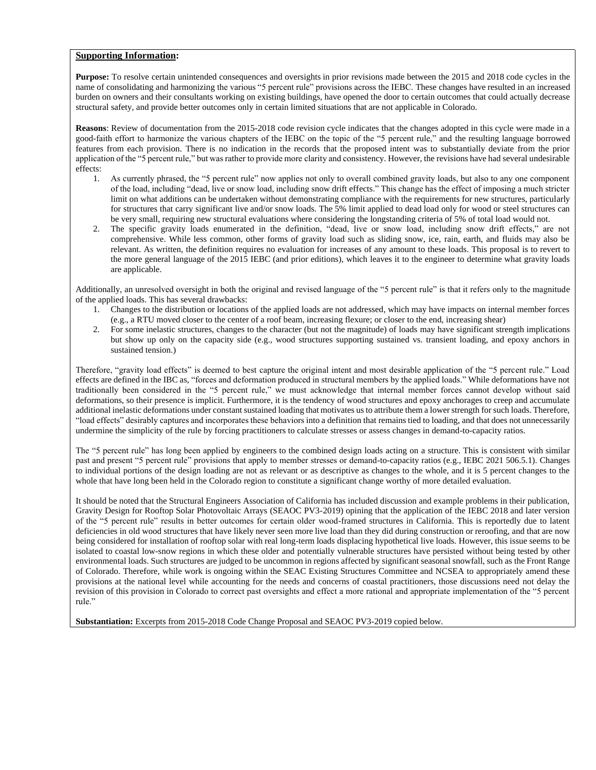#### **Supporting Information:**

**Purpose:** To resolve certain unintended consequences and oversights in prior revisions made between the 2015 and 2018 code cycles in the name of consolidating and harmonizing the various "5 percent rule" provisions across the IEBC. These changes have resulted in an increased burden on owners and their consultants working on existing buildings, have opened the door to certain outcomes that could actually decrease structural safety, and provide better outcomes only in certain limited situations that are not applicable in Colorado.

**Reasons**: Review of documentation from the 2015-2018 code revision cycle indicates that the changes adopted in this cycle were made in a good-faith effort to harmonize the various chapters of the IEBC on the topic of the "5 percent rule," and the resulting language borrowed features from each provision. There is no indication in the records that the proposed intent was to substantially deviate from the prior application of the "5 percent rule," but was rather to provide more clarity and consistency. However, the revisions have had several undesirable effects:

- 1. As currently phrased, the "5 percent rule" now applies not only to overall combined gravity loads, but also to any one component of the load, including "dead, live or snow load, including snow drift effects." This change has the effect of imposing a much stricter limit on what additions can be undertaken without demonstrating compliance with the requirements for new structures, particularly for structures that carry significant live and/or snow loads. The 5% limit applied to dead load only for wood or steel structures can be very small, requiring new structural evaluations where considering the longstanding criteria of 5% of total load would not.
- 2. The specific gravity loads enumerated in the definition, "dead, live or snow load, including snow drift effects," are not comprehensive. While less common, other forms of gravity load such as sliding snow, ice, rain, earth, and fluids may also be relevant. As written, the definition requires no evaluation for increases of any amount to these loads. This proposal is to revert to the more general language of the 2015 IEBC (and prior editions), which leaves it to the engineer to determine what gravity loads are applicable.

Additionally, an unresolved oversight in both the original and revised language of the "5 percent rule" is that it refers only to the magnitude of the applied loads. This has several drawbacks:

- 1. Changes to the distribution or locations of the applied loads are not addressed, which may have impacts on internal member forces (e.g., a RTU moved closer to the center of a roof beam, increasing flexure; or closer to the end, increasing shear)
- 2. For some inelastic structures, changes to the character (but not the magnitude) of loads may have significant strength implications but show up only on the capacity side (e.g., wood structures supporting sustained vs. transient loading, and epoxy anchors in sustained tension.)

Therefore, "gravity load effects" is deemed to best capture the original intent and most desirable application of the "5 percent rule." Load effects are defined in the IBC as, "forces and deformation produced in structural members by the applied loads." While deformations have not traditionally been considered in the "5 percent rule," we must acknowledge that internal member forces cannot develop without said deformations, so their presence is implicit. Furthermore, it is the tendency of wood structures and epoxy anchorages to creep and accumulate additional inelastic deformations under constantsustained loading that motivates us to attribute them a lower strength for such loads. Therefore, "load effects" desirably captures and incorporates these behaviors into a definition that remains tied to loading, and that does not unnecessarily undermine the simplicity of the rule by forcing practitioners to calculate stresses or assess changes in demand-to-capacity ratios.

The "5 percent rule" has long been applied by engineers to the combined design loads acting on a structure. This is consistent with similar past and present "5 percent rule" provisions that apply to member stresses or demand-to-capacity ratios (e.g., IEBC 2021 506.5.1). Changes to individual portions of the design loading are not as relevant or as descriptive as changes to the whole, and it is 5 percent changes to the whole that have long been held in the Colorado region to constitute a significant change worthy of more detailed evaluation.

It should be noted that the Structural Engineers Association of California has included discussion and example problems in their publication, Gravity Design for Rooftop Solar Photovoltaic Arrays (SEAOC PV3-2019) opining that the application of the IEBC 2018 and later version of the "5 percent rule" results in better outcomes for certain older wood-framed structures in California. This is reportedly due to latent deficiencies in old wood structures that have likely never seen more live load than they did during construction or reroofing, and that are now being considered for installation of rooftop solar with real long-term loads displacing hypothetical live loads. However, this issue seems to be isolated to coastal low-snow regions in which these older and potentially vulnerable structures have persisted without being tested by other environmental loads. Such structures are judged to be uncommon in regions affected by significant seasonal snowfall, such as the Front Range of Colorado. Therefore, while work is ongoing within the SEAC Existing Structures Committee and NCSEA to appropriately amend these provisions at the national level while accounting for the needs and concerns of coastal practitioners, those discussions need not delay the revision of this provision in Colorado to correct past oversights and effect a more rational and appropriate implementation of the "5 percent rule."

**Substantiation:** Excerpts from 2015-2018 Code Change Proposal and SEAOC PV3-2019 copied below.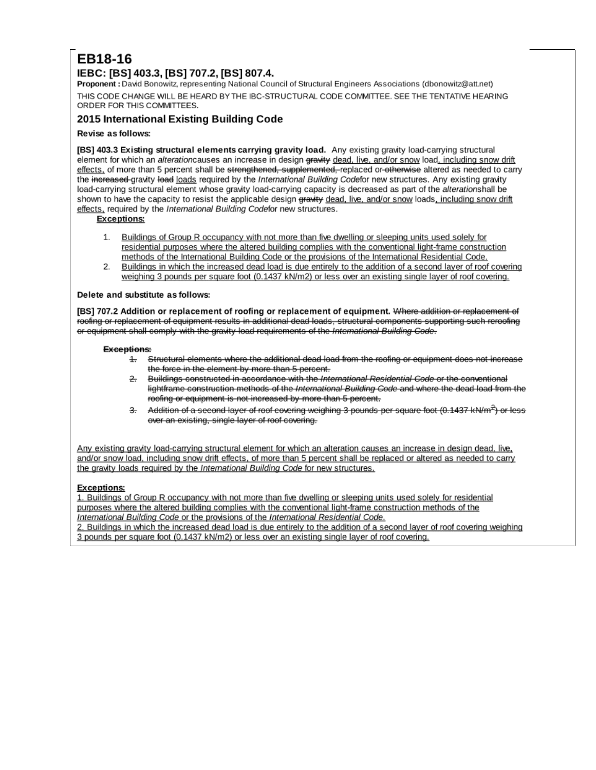# EB18-16

# IEBC: [BS] 403.3, [BS] 707.2, [BS] 807.4.

Proponent : David Bonowitz, representing National Council of Structural Engineers Associations (dbonowitz@att.net) THIS CODE CHANGE WILL BE HEARD BY THE IBC-STRUCTURAL CODE COMMITTEE, SEE THE TENTATIVE HEARING ORDER FOR THIS COMMITTEES.

# 2015 International Existing Building Code

# Revise as follows:

[BS] 403.3 Existing structural elements carrying gravity load. Any existing gravity load-carrying structural element for which an alteration causes an increase in design eravity dead, live, and/or snow load, including snow drift effects, of more than 5 percent shall be strengthened, supplemented, replaced or otherwise altered as needed to carry the increased gravity load loads required by the International Building Codefor new structures. Any existing gravity load-carrying structural element whose gravity load-carrying capacity is decreased as part of the alterationshall be shown to have the capacity to resist the applicable design gravity dead, live, and/or snow loads, including snow drift effects, required by the International Building Codefor new structures.

# Exceptions:

- 1. Buildings of Group R occupancy with not more than five dwelling or sleeping units used solely for residential purposes where the altered building complies with the conventional light-frame construction methods of the International Building Code or the provisions of the International Residential Code.
- Buildings in which the increased dead load is due entirely to the addition of a second layer of roof covering 2. weighing 3 pounds per square foot (0.1437 kN/m2) or less over an existing single layer of roof covering.

# Delete and substitute as follows:

[BS] 707.2 Addition or replacement of roofing or replacement of equipment. Where addition or replacement of roofing or replacement of equipment results in additional dead loads, structural components supporting such reroofing or equipment shall comply with the gravity load requirements of the International Building Code.

#### **Exceptions:**

- Structural elements where the additional dead load from the roofing or equipment does not increase  $\pm$ the force in the element by more than 5 percent.
- 2 Buildings constructed in accordance with the International Residential Code or the conventional lightframe construction methods of the International Building Code and where the dead load from the roofing or equipment is not increased by more than 5 percent.
- 3. Addition of a second layer of roof covering weighing 3 pounds per square foot (0.1437 kN/m<sup>2</sup>) or less over an existing, single layer of roof covering.

Any existing gravity load-carrying structural element for which an alteration causes an increase in design dead, live, and/or snow load, including snow drift effects, of more than 5 percent shall be replaced or altered as needed to carry the gravity loads required by the International Building Code for new structures.

# **Exceptions:**

1. Buildings of Group R occupancy with not more than five dwelling or sleeping units used solely for residential purposes where the altered building complies with the conventional light-frame construction methods of the International Building Code or the provisions of the International Residential Code.

2. Buildings in which the increased dead load is due entirely to the addition of a second layer of roof covering weighing 3 pounds per square foot (0.1437 kN/m2) or less over an existing single layer of roof covering.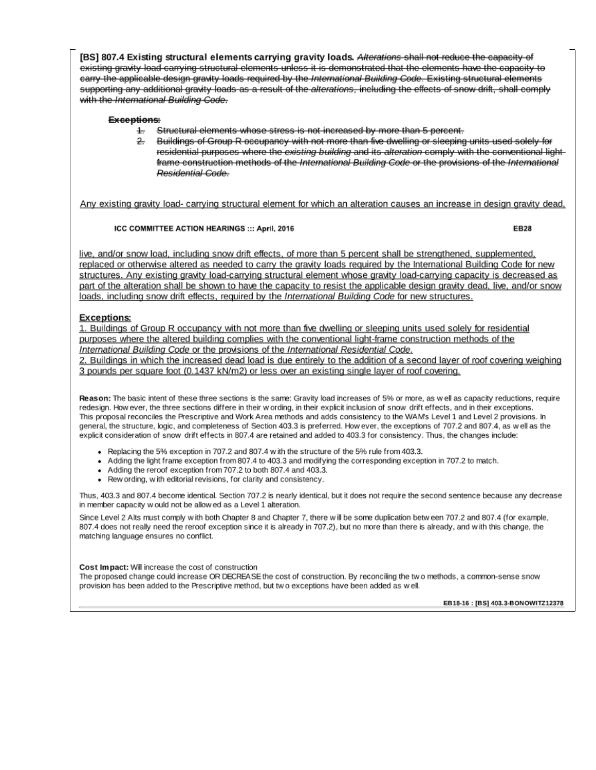[BS] 807.4 Existing structural elements carrying gravity loads. Alterations shall not reduce the capacity of existing gravity load carrying structural elements unless it is demonstrated that the elements have the capacity to carry the applicable design gravity loads required by the International Building Code. Existing structural elements supporting any additional gravity loads as a result of the alterations, including the effects of snow drift, shall comply with the International Building Code.

# Exceptions:

- $\pm$ Structural elements whose stress is not increased by more than 5 percent.
- 군. Buildings of Group R occupancy with not more than five dwelling or sleeping units used solely for residential purposes where the existing building and its alteration comply with the conventional lightframe construction methods of the International Building Code or the provisions of the International Residential Code.

Any existing gravity load- carrying structural element for which an alteration causes an increase in design gravity dead,

# ICC COMMITTEE ACTION HEARINGS ::: April, 2016

EB28

live, and/or snow load, including snow drift effects, of more than 5 percent shall be strengthened, supplemented, replaced or otherwise altered as needed to carry the gravity loads required by the International Building Code for new structures. Any existing gravity load-carrying structural element whose gravity load-carrying capacity is decreased as part of the alteration shall be shown to have the capacity to resist the applicable design gravity dead, live, and/or snow loads, including snow drift effects, required by the International Building Code for new structures.

# **Exceptions:**

1. Buildings of Group R occupancy with not more than five dwelling or sleeping units used solely for residential purposes where the altered building complies with the conventional light-frame construction methods of the International Building Code or the provisions of the International Residential Code.

2. Buildings in which the increased dead load is due entirely to the addition of a second layer of roof covering weighing 3 pounds per square foot (0.1437 kN/m2) or less over an existing single layer of roof covering.

Reason: The basic intent of these three sections is the same: Gravity load increases of 5% or more, as well as capacity reductions, require redesign. How ever, the three sections differe in their w ording, in their explicit inclusion of snow drift effects, and in their exceptions. This proposal reconciles the Prescriptive and Work Area methods and adds consistency to the WAM's Level 1 and Level 2 provisions. In general, the structure, logic, and completeness of Section 403.3 is preferred. How ever, the exceptions of 707.2 and 807.4, as well as the explicit consideration of snow drift effects in 807.4 are retained and added to 403.3 for consistency. Thus, the changes include:

- . Replacing the 5% exception in 707.2 and 807.4 with the structure of the 5% rule from 403.3.
- Adding the light frame exception from 807.4 to 403.3 and modifying the corresponding exception in 707.2 to match.
- Adding the reroof exception from 707.2 to both 807.4 and 403.3.
- Rew ording, with editorial revisions, for clarity and consistency.

Thus, 403.3 and 807.4 become identical. Section 707.2 is nearly identical, but it does not require the second sentence because any decrease in member capacity w ould not be allow ed as a Level 1 alteration.

Since Level 2 Alts must comply with both Chapter 8 and Chapter 7, there will be some duplication between 707.2 and 807.4 (for example, 807.4 does not really need the reroof exception since it is already in 707.2), but no more than there is already, and with this change, the matching language ensures no conflict.

Cost Impact: Will increase the cost of construction

The proposed change could increase OR DECREASE the cost of construction. By reconciling the two methods, a common-sense snow provision has been added to the Prescriptive method, but two exceptions have been added as well.

EB18-16: [BS] 403.3-BONOWITZ12378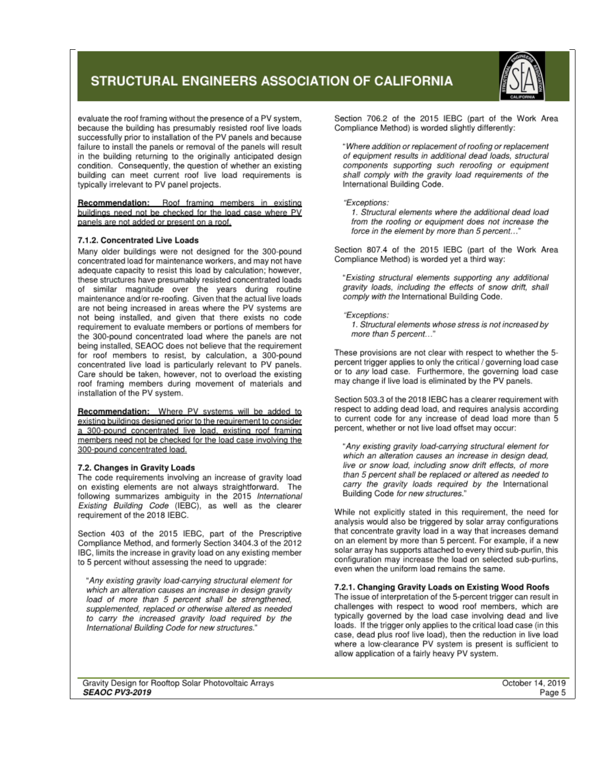# **STRUCTURAL ENGINEERS ASSOCIATION OF CALIFORNIA**



evaluate the roof framing without the presence of a PV system, because the building has presumably resisted roof live loads successfully prior to installation of the PV panels and because failure to install the panels or removal of the panels will result in the building returning to the originally anticipated design condition. Consequently, the question of whether an existing building can meet current roof live load requirements is typically irrelevant to PV panel projects.

Recommendation: Roof framing members in existing buildings need not be checked for the load case where PV panels are not added or present on a roof.

### 7.1.2. Concentrated Live Loads

Many older buildings were not designed for the 300-pound concentrated load for maintenance workers, and may not have adequate capacity to resist this load by calculation; however, these structures have presumably resisted concentrated loads of similar magnitude over the years during routine maintenance and/or re-roofing. Given that the actual live loads are not being increased in areas where the PV systems are not being installed, and given that there exists no code requirement to evaluate members or portions of members for the 300-pound concentrated load where the panels are not being installed, SEAOC does not believe that the requirement for roof members to resist, by calculation, a 300-pound concentrated live load is particularly relevant to PV panels. Care should be taken, however, not to overload the existing roof framing members during movement of materials and installation of the PV system.

Recommendation: Where PV systems will be added to existing buildings designed prior to the requirement to consider a 300-pound concentrated live load, existing roof framing members need not be checked for the load case involving the 300-pound concentrated load.

#### 7.2. Changes in Gravity Loads

The code requirements involving an increase of gravity load on existing elements are not always straightforward. The following summarizes ambiguity in the 2015 International Existing Building Code (IEBC), as well as the clearer requirement of the 2018 IEBC.

Section 403 of the 2015 IEBC, part of the Prescriptive Compliance Method, and formerly Section 3404.3 of the 2012 IBC, limits the increase in gravity load on any existing member to 5 percent without assessing the need to upgrade:

"Any existing gravity load-carrying structural element for which an alteration causes an increase in design gravity load of more than 5 percent shall be strengthened, supplemented, replaced or otherwise altered as needed to carry the increased gravity load required by the International Building Code for new structures."

Section 706.2 of the 2015 IEBC (part of the Work Area Compliance Method) is worded slightly differently:

"Where addition or replacement of roofing or replacement of equipment results in additional dead loads, structural components supporting such reroofing or equipment shall comply with the gravity load requirements of the International Building Code.

#### "Exceptions:

1. Structural elements where the additional dead load from the roofing or equipment does not increase the force in the element by more than 5 percent..."

Section 807.4 of the 2015 IEBC (part of the Work Area Compliance Method) is worded yet a third way:

"Existing structural elements supporting any additional gravity loads, including the effects of snow drift, shall comply with the International Building Code.

#### "Exceptions:

1. Structural elements whose stress is not increased by more than 5 percent..."

These provisions are not clear with respect to whether the 5percent trigger applies to only the critical / governing load case or to any load case. Furthermore, the governing load case may change if live load is eliminated by the PV panels.

Section 503.3 of the 2018 IEBC has a clearer requirement with respect to adding dead load, and requires analysis according to current code for any increase of dead load more than 5 percent, whether or not live load offset may occur:

"Any existing gravity load-carrying structural element for which an alteration causes an increase in design dead, live or snow load, including snow drift effects, of more than 5 percent shall be replaced or altered as needed to carry the gravity loads required by the International Building Code for new structures."

While not explicitly stated in this requirement, the need for analysis would also be triggered by solar array configurations that concentrate gravity load in a way that increases demand on an element by more than 5 percent. For example, if a new solar array has supports attached to every third sub-purlin, this configuration may increase the load on selected sub-purlins, even when the uniform load remains the same.

# 7.2.1. Changing Gravity Loads on Existing Wood Roofs

The issue of interpretation of the 5-percent trigger can result in challenges with respect to wood roof members, which are typically governed by the load case involving dead and live loads. If the trigger only applies to the critical load case (in this case, dead plus roof live load), then the reduction in live load where a low-clearance PV system is present is sufficient to allow application of a fairly heavy PV system.

Gravity Design for Rooftop Solar Photovoltaic Arrays **SEAOC PV3-2019**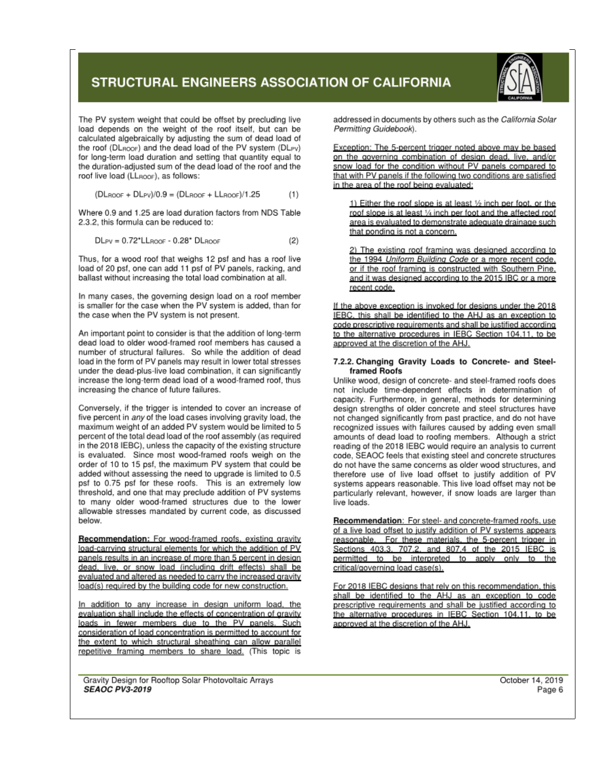# STRUCTURAL ENGINEERS ASSOCIATION OF CALIFORNIA



$$
(DL_{\text{ROOF}} + DL_{\text{PV}})/0.9 = (DL_{\text{ROOF}} + LL_{\text{ROOF}})/1.25 \tag{1}
$$

Where 0.9 and 1.25 are load duration factors from NDS Table 2.3.2. this formula can be reduced to:

$$
D\mathsf{L}_{PV} = 0.72^* \mathsf{L} \mathsf{L}_{\mathsf{ROC}} - 0.28^* \mathsf{D} \mathsf{L}_{\mathsf{ROC}} \tag{2}
$$

Thus, for a wood roof that weighs 12 psf and has a roof live load of 20 psf, one can add 11 psf of PV panels, racking, and ballast without increasing the total load combination at all.

In many cases, the governing design load on a roof member is smaller for the case when the PV system is added, than for the case when the PV system is not present.

An important point to consider is that the addition of long-term dead load to older wood-framed roof members has caused a number of structural failures. So while the addition of dead load in the form of PV panels may result in lower total stresses under the dead-plus-live load combination, it can significantly increase the long-term dead load of a wood-framed roof, thus increasing the chance of future failures.

Conversely, if the trigger is intended to cover an increase of five percent in any of the load cases involving gravity load, the maximum weight of an added PV system would be limited to 5 percent of the total dead load of the roof assembly (as required in the 2018 IEBC), unless the capacity of the existing structure is evaluated. Since most wood-framed roofs weigh on the order of 10 to 15 psf, the maximum PV system that could be added without assessing the need to upgrade is limited to 0.5 psf to 0.75 psf for these roofs. This is an extremely low threshold, and one that may preclude addition of PV systems to many older wood-framed structures due to the lower allowable stresses mandated by current code, as discussed below.

Recommendation: For wood-framed roofs, existing gravity load-carrving structural elements for which the addition of PV panels results in an increase of more than 5 percent in design dead, live, or snow load (including drift effects) shall be evaluated and altered as needed to carry the increased gravity load(s) required by the building code for new construction.

In addition to any increase in design uniform load, the evaluation shall include the effects of concentration of gravity loads in fewer members due to the PV panels. Such consideration of load concentration is permitted to account for the extent to which structural sheathing can allow parallel repetitive framing members to share load. (This topic is

Gravity Design for Rooftop Solar Photovoltaic Arrays **SEAOC PV3-2019** 

addressed in documents by others such as the California Solar Permitting Guidebook).

Exception: The 5-percent trigger noted above may be based on the governing combination of design dead, live, and/or snow load for the condition without PV panels compared to that with PV panels if the following two conditions are satisfied in the area of the roof being evaluated:

1) Either the roof slope is at least 1/2 inch per foot, or the roof slope is at least 1/4 inch per foot and the affected roof area is evaluated to demonstrate adequate drainage such that ponding is not a concern.

2) The existing roof framing was designed according to the 1994 Uniform Building Code or a more recent code, or if the roof framing is constructed with Southern Pine. and it was designed according to the 2015 IBC or a more recent code.

If the above exception is invoked for designs under the 2018 IEBC, this shall be identified to the AHJ as an exception to code prescriptive requirements and shall be justified according to the alternative procedures in IEBC Section 104.11, to be approved at the discretion of the AHJ.

#### 7.2.2. Changing Gravity Loads to Concrete- and Steelframed Roofs

Unlike wood, design of concrete- and steel-framed roofs does not include time-dependent effects in determination of capacity. Furthermore, in general, methods for determining design strengths of older concrete and steel structures have not changed significantly from past practice, and do not have recognized issues with failures caused by adding even small amounts of dead load to roofing members. Although a strict reading of the 2018 IEBC would require an analysis to current code, SEAOC feels that existing steel and concrete structures do not have the same concerns as older wood structures, and therefore use of live load offset to justify addition of PV systems appears reasonable. This live load offset may not be particularly relevant, however, if snow loads are larger than live loads.

Recommendation: For steel- and concrete-framed roofs, use of a live load offset to justify addition of PV systems appears reasonable. For these materials, the 5-percent trigger in Sections 403.3. 707.2. and 807.4 of the 2015 IEBC is permitted to be interpreted to apply only to the critical/governing load case(s).

For 2018 IEBC designs that rely on this recommendation, this shall be identified to the AHJ as an exception to code prescriptive requirements and shall be justified according to the alternative procedures in IEBC Section 104.11, to be approved at the discretion of the AHJ.